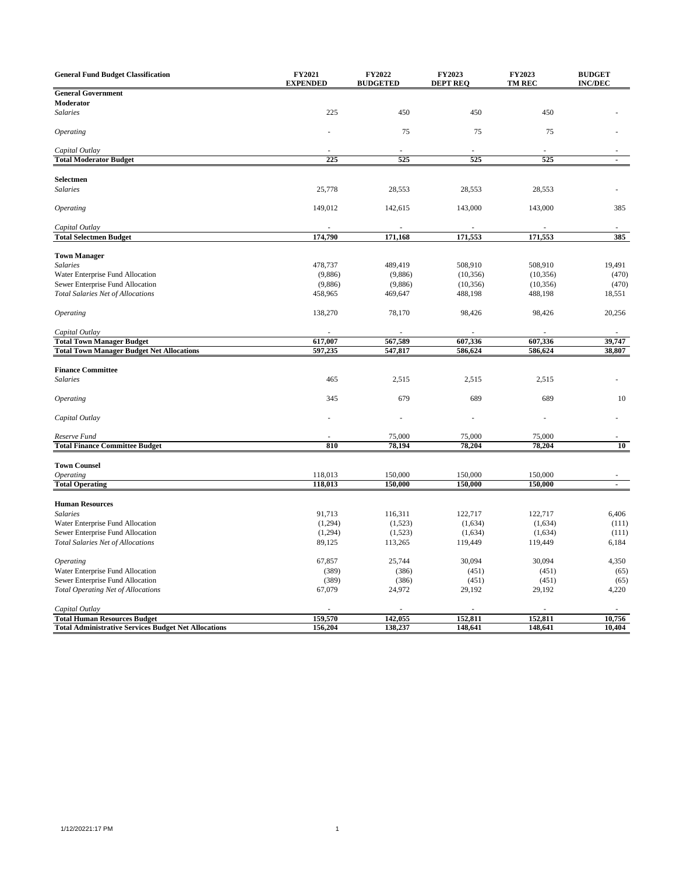| <b>General Fund Budget Classification</b>                   | FY2021<br><b>EXPENDED</b> | FY2022<br><b>BUDGETED</b> | FY2023<br><b>DEPT REQ</b> | FY2023<br><b>TM REC</b> | <b>BUDGET</b><br><b>INC/DEC</b> |
|-------------------------------------------------------------|---------------------------|---------------------------|---------------------------|-------------------------|---------------------------------|
| <b>General Government</b>                                   |                           |                           |                           |                         |                                 |
| Moderator                                                   |                           |                           |                           |                         |                                 |
| <b>Salaries</b>                                             | 225                       | 450                       | 450                       | 450                     |                                 |
| <b>Operating</b>                                            |                           | 75                        | 75                        | 75                      |                                 |
| Capital Outlay                                              |                           |                           |                           |                         |                                 |
| <b>Total Moderator Budget</b>                               | 225                       | 525                       | 525                       | 525                     | $\overline{a}$                  |
| Selectmen                                                   |                           |                           |                           |                         |                                 |
| <b>Salaries</b>                                             | 25,778                    | 28,553                    | 28,553                    | 28,553                  |                                 |
| <b>Operating</b>                                            | 149,012                   | 142,615                   | 143,000                   | 143,000                 | 385                             |
|                                                             |                           |                           |                           |                         |                                 |
| Capital Outlay<br><b>Total Selectmen Budget</b>             | 174,790                   | 171,168                   | 171,553                   | 171,553                 | 385                             |
|                                                             |                           |                           |                           |                         |                                 |
| <b>Town Manager</b>                                         |                           |                           |                           |                         |                                 |
| <b>Salaries</b>                                             | 478,737                   | 489,419                   | 508,910                   | 508,910                 | 19,491                          |
| Water Enterprise Fund Allocation                            | (9,886)                   | (9,886)                   | (10, 356)                 | (10, 356)               | (470)                           |
| Sewer Enterprise Fund Allocation                            | (9,886)                   | (9,886)                   | (10, 356)                 | (10, 356)               | (470)                           |
| <b>Total Salaries Net of Allocations</b>                    | 458,965                   | 469,647                   | 488,198                   | 488,198                 | 18,551                          |
| <i><b>Operating</b></i>                                     | 138,270                   | 78,170                    | 98,426                    | 98,426                  | 20,256                          |
| Capital Outlay                                              |                           |                           |                           |                         |                                 |
| <b>Total Town Manager Budget</b>                            | 617,007                   | 567,589                   | 607,336                   | 607,336                 | 39,747                          |
| <b>Total Town Manager Budget Net Allocations</b>            | 597,235                   | 547,817                   | 586,624                   | 586,624                 | 38,807                          |
|                                                             |                           |                           |                           |                         |                                 |
| <b>Finance Committee</b>                                    |                           |                           |                           |                         |                                 |
| <b>Salaries</b>                                             | 465                       | 2,515                     | 2,515                     | 2,515                   |                                 |
| <b>Operating</b>                                            | 345                       | 679                       | 689                       | 689                     | 10                              |
| Capital Outlay                                              |                           | ٠                         |                           |                         |                                 |
| Reserve Fund                                                |                           | 75,000                    | 75,000                    | 75,000                  |                                 |
| <b>Total Finance Committee Budget</b>                       | 810                       | 78,194                    | 78,204                    | 78,204                  | 10                              |
|                                                             |                           |                           |                           |                         |                                 |
| <b>Town Counsel</b>                                         |                           |                           |                           |                         |                                 |
| <b>Operating</b>                                            | 118,013                   | 150,000<br>150,000        | 150,000<br>150,000        | 150,000<br>150,000      |                                 |
| <b>Total Operating</b>                                      | 118,013                   |                           |                           |                         | $\blacksquare$                  |
| <b>Human Resources</b>                                      |                           |                           |                           |                         |                                 |
| <b>Salaries</b>                                             | 91,713                    | 116,311                   | 122,717                   | 122,717                 | 6,406                           |
| Water Enterprise Fund Allocation                            | (1,294)                   | (1,523)                   | (1,634)                   | (1,634)                 | (111)                           |
| Sewer Enterprise Fund Allocation                            | (1,294)                   | (1,523)                   | (1,634)                   | (1,634)                 | (111)                           |
| <b>Total Salaries Net of Allocations</b>                    | 89,125                    | 113,265                   | 119,449                   | 119,449                 | 6,184                           |
|                                                             |                           |                           |                           |                         |                                 |
| <i><b>Operating</b></i>                                     | 67,857                    | 25,744                    | 30,094                    | 30,094                  | 4,350                           |
| Water Enterprise Fund Allocation                            | (389)                     | (386)                     | (451)                     | (451)                   | (65)                            |
| Sewer Enterprise Fund Allocation                            | (389)                     | (386)                     | (451)                     | (451)                   | (65)                            |
| <b>Total Operating Net of Allocations</b>                   | 67,079                    | 24,972                    | 29,192                    | 29,192                  | 4,220                           |
| Capital Outlay                                              |                           |                           |                           |                         |                                 |
| <b>Total Human Resources Budget</b>                         | 159,570                   | 142,055                   | 152,811                   | 152,811                 | 10,756                          |
| <b>Total Administrative Services Budget Net Allocations</b> | 156,204                   | 138,237                   | 148,641                   | 148,641                 | 10,404                          |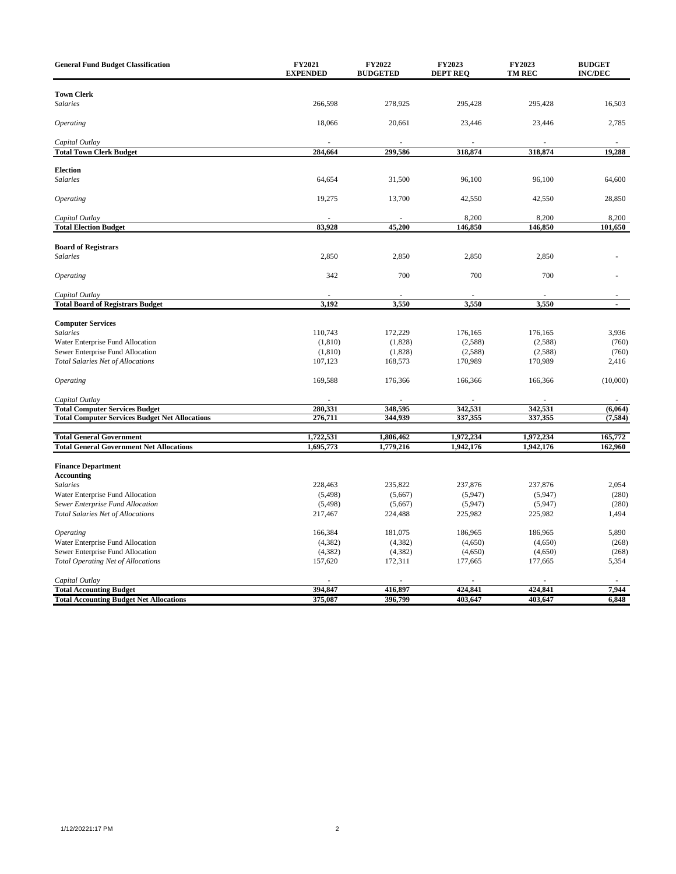| <b>General Fund Budget Classification</b>                                     | FY2021<br><b>EXPENDED</b> | <b>FY2022</b><br><b>BUDGETED</b> | <b>FY2023</b><br><b>DEPT REQ</b> | <b>FY2023</b><br><b>TM REC</b> | <b>BUDGET</b><br><b>INC/DEC</b> |
|-------------------------------------------------------------------------------|---------------------------|----------------------------------|----------------------------------|--------------------------------|---------------------------------|
|                                                                               |                           |                                  |                                  |                                |                                 |
| <b>Town Clerk</b><br><b>Salaries</b>                                          | 266,598                   | 278,925                          | 295,428                          | 295,428                        | 16,503                          |
|                                                                               |                           |                                  |                                  |                                |                                 |
| <b>Operating</b>                                                              | 18,066                    | 20,661                           | 23,446                           | 23,446                         | 2,785                           |
| Capital Outlay                                                                |                           |                                  |                                  |                                |                                 |
| <b>Total Town Clerk Budget</b>                                                | 284,664                   | 299,586                          | 318,874                          | 318,874                        | 19,288                          |
|                                                                               |                           |                                  |                                  |                                |                                 |
| <b>Election</b>                                                               |                           |                                  |                                  |                                |                                 |
| <b>Salaries</b>                                                               | 64,654                    | 31,500                           | 96,100                           | 96,100                         | 64,600                          |
| <b>Operating</b>                                                              | 19,275                    | 13,700                           | 42,550                           | 42,550                         | 28,850                          |
| Capital Outlay                                                                |                           |                                  | 8,200                            | 8,200                          | 8,200                           |
| <b>Total Election Budget</b>                                                  | 83,928                    | 45,200                           | 146,850                          | 146,850                        | 101,650                         |
|                                                                               |                           |                                  |                                  |                                |                                 |
| <b>Board of Registrars</b>                                                    |                           |                                  |                                  |                                |                                 |
| <b>Salaries</b>                                                               | 2,850                     | 2,850                            | 2,850                            | 2,850                          |                                 |
|                                                                               | 342                       | 700                              | 700                              | 700                            |                                 |
| Operating                                                                     |                           |                                  |                                  |                                |                                 |
| Capital Outlay                                                                |                           |                                  |                                  |                                |                                 |
| <b>Total Board of Registrars Budget</b>                                       | 3,192                     | 3,550                            | 3,550                            | 3,550                          | $\overline{a}$                  |
|                                                                               |                           |                                  |                                  |                                |                                 |
| <b>Computer Services</b>                                                      |                           |                                  |                                  |                                |                                 |
| <b>Salaries</b>                                                               | 110,743                   | 172,229                          | 176,165                          | 176,165                        | 3,936                           |
| Water Enterprise Fund Allocation                                              | (1, 810)                  | (1,828)                          | (2,588)                          | (2,588)                        | (760)                           |
| Sewer Enterprise Fund Allocation                                              | (1, 810)                  | (1,828)                          | (2,588)                          | (2,588)                        | (760)                           |
| <b>Total Salaries Net of Allocations</b>                                      | 107,123                   | 168,573                          | 170,989                          | 170,989                        | 2,416                           |
| <i><b>Operating</b></i>                                                       | 169,588                   | 176,366                          | 166,366                          | 166,366                        | (10,000)                        |
| Capital Outlay                                                                |                           |                                  |                                  |                                |                                 |
| <b>Total Computer Services Budget</b>                                         | 280,331                   | 348.595                          | 342,531                          | 342,531                        | (6,064)                         |
| <b>Total Computer Services Budget Net Allocations</b>                         | 276,711                   | 344,939                          | 337,355                          | 337,355                        | (7, 584)                        |
| <b>Total General Government</b>                                               |                           | 1,806,462                        |                                  |                                | 165,772                         |
| <b>Total General Government Net Allocations</b>                               | 1,722,531<br>1,695,773    | 1,779,216                        | 1,972,234<br>1,942,176           | 1,972,234<br>1,942,176         | 162,960                         |
|                                                                               |                           |                                  |                                  |                                |                                 |
| <b>Finance Department</b>                                                     |                           |                                  |                                  |                                |                                 |
| <b>Accounting</b>                                                             |                           |                                  |                                  |                                |                                 |
| <b>Salaries</b>                                                               | 228,463                   | 235,822                          | 237,876                          | 237,876                        | 2,054                           |
| Water Enterprise Fund Allocation                                              | (5, 498)                  | (5,667)                          | (5,947)                          | (5,947)                        | (280)                           |
| Sewer Enterprise Fund Allocation                                              | (5, 498)                  | (5,667)                          | (5,947)                          | (5,947)                        | (280)                           |
| <b>Total Salaries Net of Allocations</b>                                      | 217,467                   | 224,488                          | 225,982                          | 225,982                        | 1,494                           |
|                                                                               |                           |                                  |                                  |                                |                                 |
| Operating                                                                     | 166,384                   | 181,075                          | 186,965                          | 186,965                        | 5,890                           |
| Water Enterprise Fund Allocation                                              | (4,382)                   | (4,382)                          | (4,650)                          | (4,650)                        | (268)                           |
| Sewer Enterprise Fund Allocation<br><b>Total Operating Net of Allocations</b> | (4,382)<br>157,620        | (4,382)<br>172,311               | (4,650)<br>177,665               | (4,650)<br>177,665             | (268)<br>5,354                  |
|                                                                               |                           |                                  |                                  |                                |                                 |
| Capital Outlay                                                                |                           |                                  |                                  |                                |                                 |
| <b>Total Accounting Budget</b>                                                | 394,847                   | 416,897                          | 424,841                          | 424,841                        | 7,944                           |
| <b>Total Accounting Budget Net Allocations</b>                                | 375,087                   | 396,799                          | 403,647                          | 403,647                        | 6,848                           |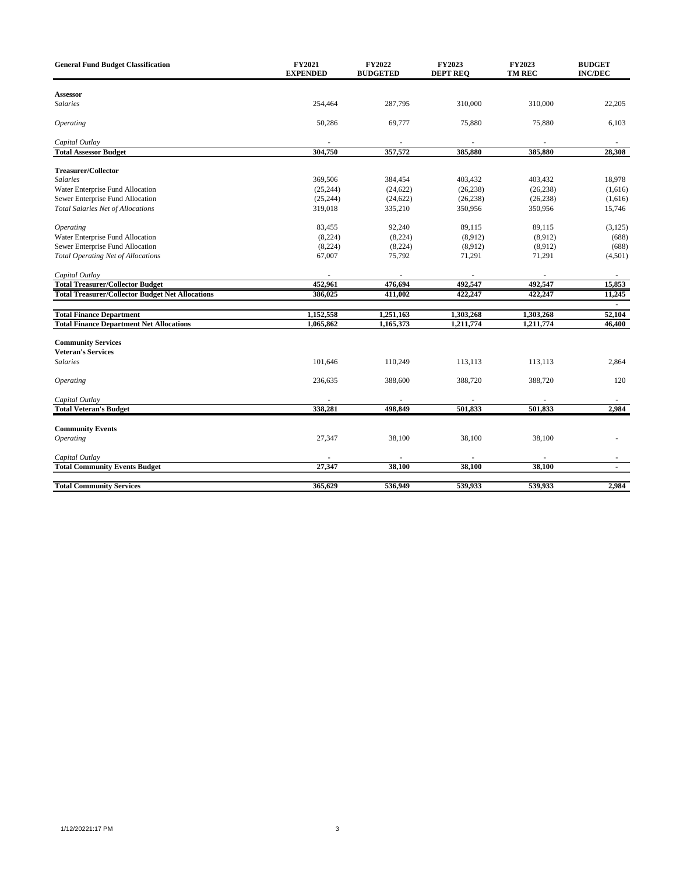| <b>General Fund Budget Classification</b>               | FY2021<br><b>EXPENDED</b> | FY2022<br><b>BUDGETED</b> | FY2023<br><b>DEPT REO</b> | FY2023<br><b>TM REC</b> | <b>BUDGET</b><br><b>INC/DEC</b> |
|---------------------------------------------------------|---------------------------|---------------------------|---------------------------|-------------------------|---------------------------------|
|                                                         |                           |                           |                           |                         |                                 |
| <b>Assessor</b>                                         |                           |                           |                           |                         |                                 |
| Salaries                                                | 254,464                   | 287,795                   | 310,000                   | 310,000                 | 22,205                          |
| Operating                                               | 50,286                    | 69,777                    | 75,880                    | 75,880                  | 6,103                           |
| Capital Outlay                                          |                           |                           |                           |                         |                                 |
| <b>Total Assessor Budget</b>                            | 304,750                   | 357,572                   | 385,880                   | 385,880                 | 28,308                          |
| <b>Treasurer/Collector</b>                              |                           |                           |                           |                         |                                 |
| <b>Salaries</b>                                         |                           |                           |                           |                         |                                 |
|                                                         | 369,506                   | 384,454                   | 403,432                   | 403,432                 | 18,978                          |
| Water Enterprise Fund Allocation                        | (25, 244)                 | (24, 622)                 | (26, 238)                 | (26, 238)               | (1,616)                         |
| Sewer Enterprise Fund Allocation                        | (25, 244)                 | (24, 622)                 | (26, 238)                 | (26, 238)               | (1,616)                         |
| <b>Total Salaries Net of Allocations</b>                | 319,018                   | 335,210                   | 350,956                   | 350,956                 | 15,746                          |
| <b>Operating</b>                                        | 83,455                    | 92,240                    | 89,115                    | 89,115                  | (3,125)                         |
| Water Enterprise Fund Allocation                        | (8,224)                   | (8,224)                   | (8,912)                   | (8,912)                 | (688)                           |
| Sewer Enterprise Fund Allocation                        | (8,224)                   | (8,224)                   | (8,912)                   | (8,912)                 | (688)                           |
|                                                         | 67,007                    | 75,792                    | 71,291                    | 71,291                  | (4,501)                         |
| <b>Total Operating Net of Allocations</b>               |                           |                           |                           |                         |                                 |
| Capital Outlay                                          |                           |                           |                           |                         |                                 |
| <b>Total Treasurer/Collector Budget</b>                 | 452,961                   | 476,694                   | 492,547                   | 492,547                 | 15,853                          |
| <b>Total Treasurer/Collector Budget Net Allocations</b> | 386,025                   | 411,002                   | 422,247                   | 422,247                 | 11,245                          |
|                                                         |                           |                           |                           |                         |                                 |
| <b>Total Finance Department</b>                         | 1,152,558                 | 1,251,163                 | 1,303,268                 | 1,303,268               | 52,104                          |
| <b>Total Finance Department Net Allocations</b>         | 1,065,862                 | 1,165,373                 | 1,211,774                 | 1,211,774               | 46,400                          |
| <b>Community Services</b>                               |                           |                           |                           |                         |                                 |
| <b>Veteran's Services</b>                               |                           |                           |                           |                         |                                 |
| <b>Salaries</b>                                         | 101,646                   | 110,249                   | 113,113                   | 113,113                 | 2,864                           |
| Operating                                               | 236,635                   | 388,600                   | 388,720                   | 388,720                 | 120                             |
|                                                         |                           |                           |                           |                         |                                 |
| Capital Outlay                                          |                           |                           |                           |                         |                                 |
| <b>Total Veteran's Budget</b>                           | 338,281                   | 498.849                   | 501,833                   | 501,833                 | 2,984                           |
| <b>Community Events</b>                                 |                           |                           |                           |                         |                                 |
| <b>Operating</b>                                        | 27,347                    | 38,100                    | 38,100                    | 38,100                  |                                 |
|                                                         |                           |                           |                           |                         |                                 |
| Capital Outlay                                          |                           |                           |                           |                         |                                 |
| <b>Total Community Events Budget</b>                    | 27,347                    | 38,100                    | 38,100                    | 38,100                  |                                 |
| <b>Total Community Services</b>                         | 365,629                   | 536,949                   | 539,933                   | 539,933                 | 2,984                           |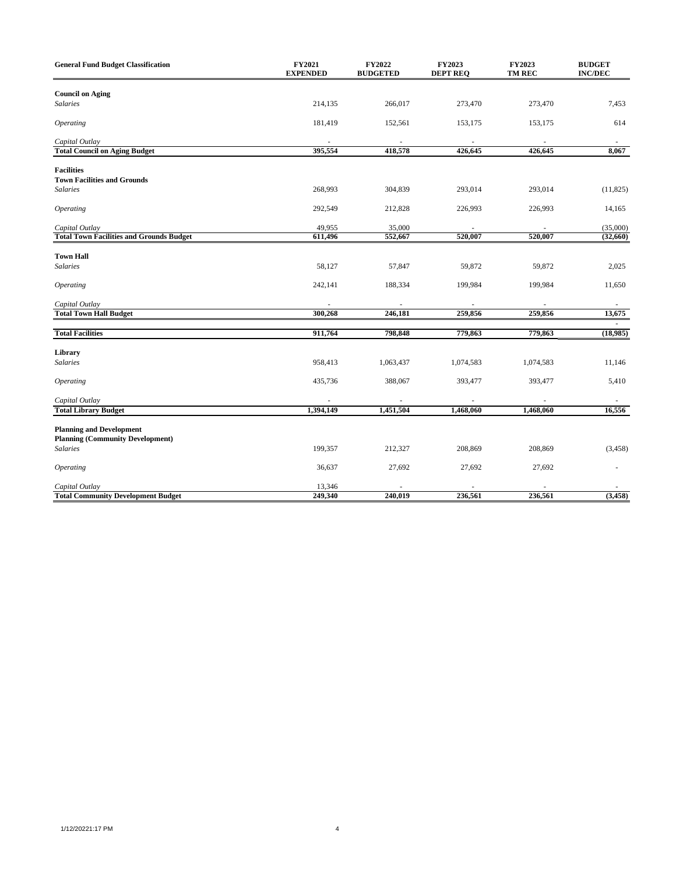| <b>General Fund Budget Classification</b>                                  | FY2021<br><b>EXPENDED</b> | FY2022<br><b>BUDGETED</b> | FY2023<br><b>DEPT REQ</b> | FY2023<br>TM REC | <b>BUDGET</b><br><b>INC/DEC</b> |
|----------------------------------------------------------------------------|---------------------------|---------------------------|---------------------------|------------------|---------------------------------|
| <b>Council on Aging</b>                                                    |                           |                           |                           |                  |                                 |
| <b>Salaries</b>                                                            | 214,135                   | 266,017                   | 273,470                   | 273,470          | 7,453                           |
| <b>Operating</b>                                                           | 181,419                   | 152,561                   | 153,175                   | 153,175          | 614                             |
| Capital Outlay                                                             |                           |                           |                           |                  |                                 |
| <b>Total Council on Aging Budget</b>                                       | 395,554                   | 418,578                   | 426,645                   | 426,645          | 8,067                           |
| <b>Facilities</b><br><b>Town Facilities and Grounds</b>                    |                           |                           |                           |                  |                                 |
| <b>Salaries</b>                                                            | 268,993                   | 304,839                   | 293,014                   | 293,014          | (11, 825)                       |
| <b>Operating</b>                                                           | 292,549                   | 212,828                   | 226,993                   | 226,993          | 14,165                          |
| Capital Outlay                                                             | 49,955                    | 35,000                    |                           |                  | (35,000)                        |
| <b>Total Town Facilities and Grounds Budget</b>                            | 611,496                   | 552,667                   | 520,007                   | 520,007          | (32,660)                        |
| <b>Town Hall</b>                                                           |                           |                           |                           |                  |                                 |
| <b>Salaries</b>                                                            | 58,127                    | 57,847                    | 59,872                    | 59,872           | 2,025                           |
| <b>Operating</b>                                                           | 242,141                   | 188,334                   | 199,984                   | 199,984          | 11,650                          |
| Capital Outlay                                                             |                           |                           |                           |                  |                                 |
| <b>Total Town Hall Budget</b>                                              | 300,268                   | 246,181                   | 259,856                   | 259,856          | 13,675                          |
| <b>Total Facilities</b>                                                    | 911,764                   | 798,848                   | 779,863                   | 779,863          | (18,985)                        |
| Library                                                                    |                           |                           |                           |                  |                                 |
| <b>Salaries</b>                                                            | 958,413                   | 1,063,437                 | 1,074,583                 | 1,074,583        | 11,146                          |
| <b>Operating</b>                                                           | 435,736                   | 388,067                   | 393,477                   | 393,477          | 5,410                           |
| Capital Outlay                                                             |                           |                           |                           |                  |                                 |
| <b>Total Library Budget</b>                                                | 1,394,149                 | 1,451,504                 | 1,468,060                 | 1,468,060        | 16,556                          |
| <b>Planning and Development</b><br><b>Planning (Community Development)</b> |                           |                           |                           |                  |                                 |
| <b>Salaries</b>                                                            | 199,357                   | 212,327                   | 208,869                   | 208,869          | (3, 458)                        |
| <b>Operating</b>                                                           | 36,637                    | 27,692                    | 27,692                    | 27,692           |                                 |
| Capital Outlay                                                             | 13,346                    |                           |                           |                  |                                 |
| <b>Total Community Development Budget</b>                                  | 249,340                   | 240,019                   | 236,561                   | 236,561          | (3, 458)                        |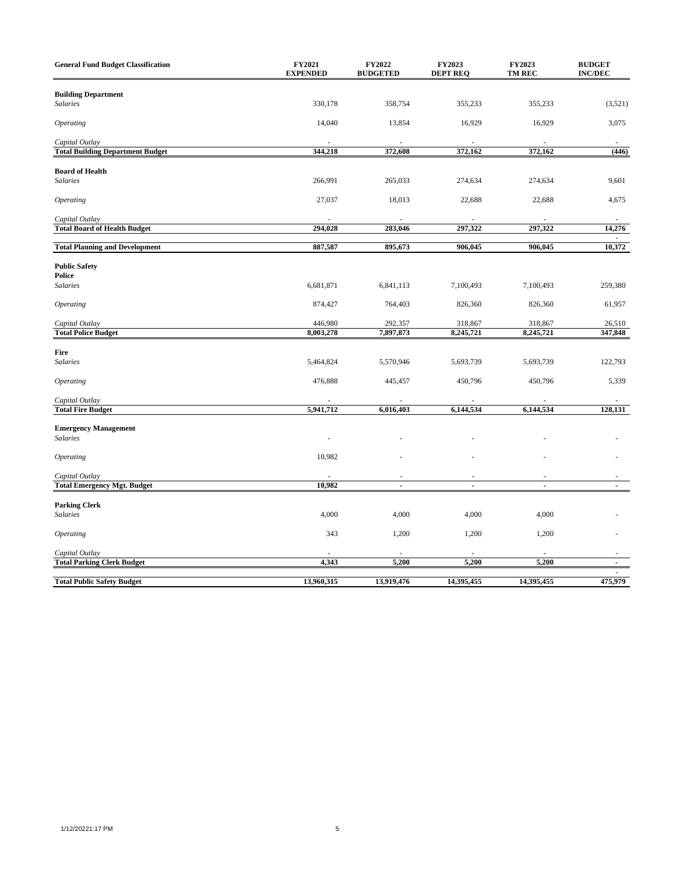| <b>General Fund Budget Classification</b>                 | FY2021<br><b>EXPENDED</b> | FY2022<br><b>BUDGETED</b> | FY2023<br><b>DEPT REQ</b> | FY2023<br>TM REC | <b>BUDGET</b><br><b>INC/DEC</b> |
|-----------------------------------------------------------|---------------------------|---------------------------|---------------------------|------------------|---------------------------------|
| <b>Building Department</b><br><b>Salaries</b>             | 330,178                   | 358,754                   | 355,233                   | 355,233          | (3,521)                         |
| <b>Operating</b>                                          | 14,040                    | 13,854                    | 16,929                    | 16,929           | 3,075                           |
| Capital Outlay<br><b>Total Building Department Budget</b> | 344,218                   | 372,608                   | 372,162                   | 372,162          | (446)                           |
|                                                           |                           |                           |                           |                  |                                 |
| <b>Board of Health</b><br><b>Salaries</b>                 | 266,991                   | 265,033                   | 274,634                   | 274,634          | 9,601                           |
| <i><b>Operating</b></i>                                   | 27,037                    | 18,013                    | 22,688                    | 22,688           | 4,675                           |
| Capital Outlay<br><b>Total Board of Health Budget</b>     | 294,028                   | 283,046                   | 297,322                   | 297,322          | 14,276                          |
|                                                           |                           |                           |                           |                  |                                 |
| <b>Total Planning and Development</b>                     | 887,587                   | 895,673                   | 906,045                   | 906,045          | 10,372                          |
| <b>Public Safety</b><br>Police                            |                           |                           |                           |                  |                                 |
| <b>Salaries</b>                                           | 6,681,871                 | 6,841,113                 | 7,100,493                 | 7,100,493        | 259,380                         |
| <b>Operating</b>                                          | 874,427                   | 764,403                   | 826,360                   | 826,360          | 61,957                          |
| Capital Outlay                                            | 446,980                   | 292,357                   | 318,867                   | 318,867          | 26,510                          |
| <b>Total Police Budget</b>                                | 8,003,278                 | 7,897,873                 | 8,245,721                 | 8,245,721        | 347,848                         |
|                                                           |                           |                           |                           |                  |                                 |
| Fire<br><b>Salaries</b>                                   | 5,464,824                 | 5,570,946                 | 5,693,739                 | 5,693,739        | 122,793                         |
| Operating                                                 | 476,888                   | 445,457                   | 450,796                   | 450,796          | 5,339                           |
| Capital Outlay                                            |                           |                           |                           |                  |                                 |
| <b>Total Fire Budget</b>                                  | 5,941,712                 | 6,016,403                 | 6,144,534                 | 6,144,534        | 128,131                         |
| <b>Emergency Management</b><br><b>Salaries</b>            |                           |                           |                           |                  |                                 |
| Operating                                                 | 10,982                    |                           |                           |                  |                                 |
| Capital Outlay                                            |                           |                           |                           |                  |                                 |
| <b>Total Emergency Mgt. Budget</b>                        | 10,982                    | $\overline{a}$            | $\overline{a}$            | $\overline{a}$   | $\overline{a}$                  |
|                                                           |                           |                           |                           |                  |                                 |
| <b>Parking Clerk</b><br><b>Salaries</b>                   | 4,000                     | 4,000                     | 4,000                     | 4,000            |                                 |
| Operating                                                 | 343                       | 1,200                     | 1,200                     | 1,200            |                                 |
| Capital Outlay                                            |                           |                           |                           |                  |                                 |
| <b>Total Parking Clerk Budget</b>                         | 4,343                     | 5,200                     | 5,200                     | 5,200            | $\overline{\phantom{a}}$        |
| <b>Total Public Safety Budget</b>                         | 13,960,315                | 13,919,476                | 14,395,455                | 14,395,455       | 475,979                         |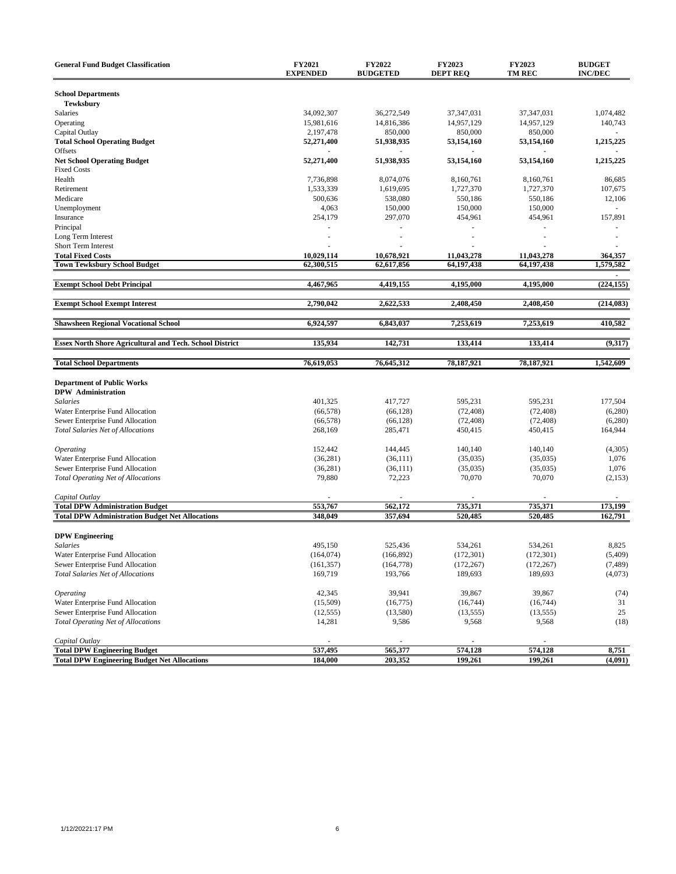| <b>General Fund Budget Classification</b>                                    | FY2021<br><b>EXPENDED</b> | FY2022<br><b>BUDGETED</b> | FY2023<br><b>DEPT REQ</b> | <b>FY2023</b><br><b>TM REC</b> | <b>BUDGET</b><br><b>INC/DEC</b> |
|------------------------------------------------------------------------------|---------------------------|---------------------------|---------------------------|--------------------------------|---------------------------------|
| <b>School Departments</b>                                                    |                           |                           |                           |                                |                                 |
| <b>Tewksbury</b>                                                             |                           |                           |                           |                                |                                 |
| Salaries                                                                     | 34,092,307                | 36,272,549                | 37,347,031                | 37,347,031                     | 1,074,482                       |
| Operating                                                                    | 15,981,616                | 14,816,386<br>850,000     | 14,957,129                | 14,957,129                     | 140,743                         |
| Capital Outlay                                                               | 2,197,478                 |                           | 850,000                   | 850,000                        |                                 |
| <b>Total School Operating Budget</b><br>Offsets                              | 52,271,400                | 51,938,935<br>×.          | 53,154,160                | 53,154,160                     | 1,215,225                       |
| <b>Net School Operating Budget</b>                                           | 52,271,400                | 51,938,935                | 53,154,160                | 53,154,160                     | 1,215,225                       |
| <b>Fixed Costs</b>                                                           |                           |                           |                           |                                |                                 |
| Health                                                                       | 7,736,898                 | 8,074,076                 | 8,160,761                 | 8,160,761                      | 86,685                          |
| Retirement                                                                   | 1,533,339                 | 1,619,695                 | 1,727,370                 | 1,727,370                      | 107,675                         |
| Medicare                                                                     | 500,636                   | 538,080                   | 550,186                   | 550,186                        | 12,106                          |
| Unemployment                                                                 | 4,063                     | 150,000                   | 150,000                   | 150,000                        |                                 |
| Insurance                                                                    | 254,179                   | 297,070                   | 454,961                   | 454,961                        | 157,891                         |
| Principal                                                                    |                           |                           |                           |                                |                                 |
| Long Term Interest                                                           |                           | ÷.                        | ÷,                        |                                | ×,                              |
| Short Term Interest                                                          |                           |                           |                           |                                |                                 |
| <b>Total Fixed Costs</b>                                                     | 10,029,114                | 10,678,921                | 11,043,278                | 11,043,278                     | 364,357                         |
| <b>Town Tewksbury School Budget</b>                                          | 62,300,515                | 62,617,856                | 64,197,438                | 64,197,438                     | 1,579,582                       |
| <b>Exempt School Debt Principal</b>                                          | 4,467,965                 | 4,419,155                 | 4,195,000                 | 4,195,000                      | (224, 155)                      |
| <b>Exempt School Exempt Interest</b>                                         | 2,790,042                 | 2,622,533                 | 2,408,450                 | 2,408,450                      | (214, 083)                      |
|                                                                              |                           |                           |                           |                                |                                 |
| <b>Shawsheen Regional Vocational School</b>                                  | 6,924,597                 | 6,843,037                 | 7,253,619                 | 7,253,619                      | 410,582                         |
| <b>Essex North Shore Agricultural and Tech. School District</b>              | 135,934                   | 142,731                   | 133,414                   | 133,414                        | (9,317)                         |
| <b>Total School Departments</b>                                              | 76,619,053                | 76,645,312                | 78,187,921                | 78,187,921                     | 1,542,609                       |
|                                                                              |                           |                           |                           |                                |                                 |
| <b>Department of Public Works</b>                                            |                           |                           |                           |                                |                                 |
| <b>DPW</b> Administration                                                    |                           |                           |                           |                                |                                 |
| <b>Salaries</b>                                                              | 401,325<br>(66, 578)      | 417,727<br>(66, 128)      | 595,231<br>(72, 408)      | 595,231                        | 177,504<br>(6,280)              |
| Water Enterprise Fund Allocation<br>Sewer Enterprise Fund Allocation         | (66, 578)                 | (66, 128)                 | (72, 408)                 | (72, 408)                      | (6,280)                         |
|                                                                              | 268,169                   | 285,471                   | 450,415                   | (72, 408)<br>450,415           | 164,944                         |
| <b>Total Salaries Net of Allocations</b>                                     |                           |                           |                           |                                |                                 |
| <i><b>Operating</b></i>                                                      | 152,442                   | 144,445                   | 140,140                   | 140,140                        | (4,305)                         |
| Water Enterprise Fund Allocation                                             | (36, 281)                 | (36,111)                  | (35,035)                  | (35,035)                       | 1,076                           |
| Sewer Enterprise Fund Allocation                                             | (36, 281)                 | (36,111)                  | (35,035)                  | (35,035)                       | 1,076                           |
| <b>Total Operating Net of Allocations</b>                                    | 79,880                    | 72,223                    | 70,070                    | 70,070                         | (2,153)                         |
|                                                                              |                           |                           |                           |                                |                                 |
| Capital Outlay                                                               |                           |                           |                           |                                |                                 |
| <b>Total DPW Administration Budget</b>                                       | 553,767                   | 562,172                   | 735,371                   | 735.371                        | 173.199                         |
| <b>Total DPW Administration Budget Net Allocations</b>                       | 348,049                   | 357,694                   | 520,485                   | 520,485                        | 162,791                         |
|                                                                              |                           |                           |                           |                                |                                 |
| <b>DPW Engineering</b>                                                       |                           |                           |                           |                                |                                 |
| <b>Salaries</b>                                                              | 495,150                   | 525,436                   | 534,261                   | 534,261                        | 8,825                           |
| Water Enterprise Fund Allocation                                             | (164, 074)                | (166, 892)                | (172, 301)                | (172, 301)                     | (5,409)                         |
| Sewer Enterprise Fund Allocation<br><b>Total Salaries Net of Allocations</b> | (161, 357)<br>169,719     | (164, 778)                | (172, 267)                | (172, 267)                     | (7, 489)                        |
|                                                                              |                           | 193,766                   | 189,693                   | 189,693                        | (4,073)                         |
| Operating                                                                    | 42,345                    | 39,941                    | 39,867                    | 39,867                         | (74)                            |
| Water Enterprise Fund Allocation                                             | (15,509)                  | (16, 775)                 | (16,744)                  | (16, 744)                      | 31                              |
| Sewer Enterprise Fund Allocation                                             | (12, 555)                 | (13,580)                  | (13, 555)                 | (13, 555)                      | 25                              |
| <b>Total Operating Net of Allocations</b>                                    | 14,281                    | 9,586                     | 9,568                     | 9,568                          | (18)                            |
| Capital Outlav                                                               |                           |                           |                           |                                |                                 |
| <b>Total DPW Engineering Budget</b>                                          | 537,495                   | 565,377                   | 574,128                   | 574,128                        | 8,751                           |
| <b>Total DPW Engineering Budget Net Allocations</b>                          | 184,000                   | 203,352                   | 199,261                   | 199,261                        | (4,091)                         |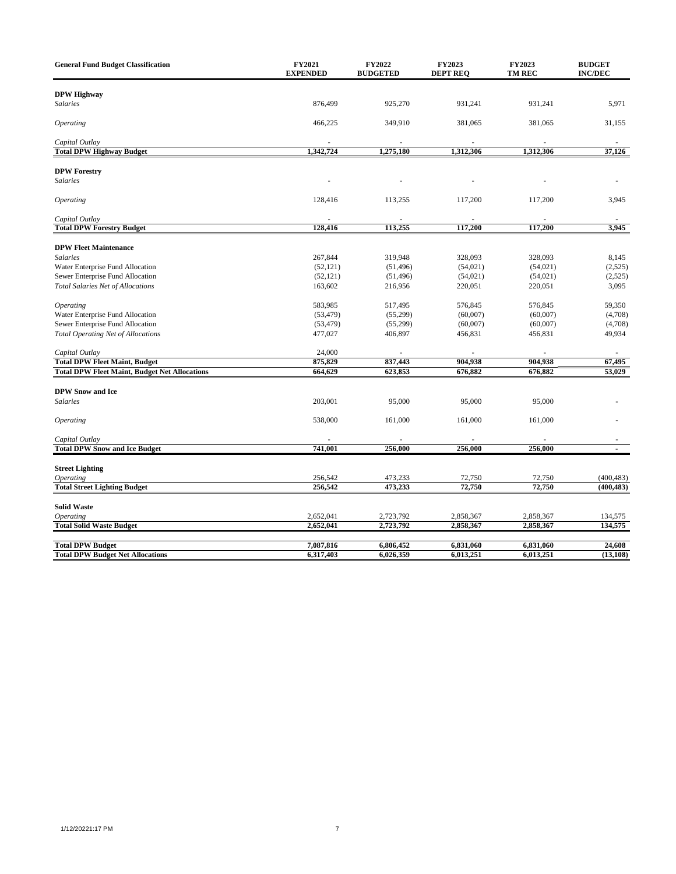| <b>General Fund Budget Classification</b>            | <b>FY2021</b><br><b>EXPENDED</b> | FY2022<br><b>BUDGETED</b> | <b>FY2023</b><br><b>DEPT REQ</b> | FY2023<br><b>TM REC</b> | <b>BUDGET</b><br><b>INC/DEC</b> |
|------------------------------------------------------|----------------------------------|---------------------------|----------------------------------|-------------------------|---------------------------------|
|                                                      |                                  |                           |                                  |                         |                                 |
| <b>DPW Highway</b>                                   |                                  |                           |                                  |                         |                                 |
| Salaries                                             | 876,499                          | 925,270                   | 931,241                          | 931,241                 | 5,971                           |
| <i><b>Operating</b></i>                              | 466,225                          | 349,910                   | 381,065                          | 381,065                 | 31,155                          |
| Capital Outlay                                       |                                  |                           |                                  |                         |                                 |
| <b>Total DPW Highway Budget</b>                      | 1,342,724                        | 1,275,180                 | 1,312,306                        | 1,312,306               | 37,126                          |
| <b>DPW Forestry</b>                                  |                                  |                           |                                  |                         |                                 |
| <b>Salaries</b>                                      |                                  |                           |                                  |                         |                                 |
| <b>Operating</b>                                     | 128,416                          | 113,255                   | 117,200                          | 117,200                 | 3,945                           |
| Capital Outlay                                       |                                  |                           |                                  |                         |                                 |
| <b>Total DPW Forestry Budget</b>                     | 128,416                          | 113,255                   | 117,200                          | 117,200                 | 3,945                           |
|                                                      |                                  |                           |                                  |                         |                                 |
| <b>DPW Fleet Maintenance</b>                         |                                  |                           |                                  |                         |                                 |
| <b>Salaries</b>                                      | 267,844                          | 319,948                   | 328,093                          | 328,093                 | 8,145                           |
| Water Enterprise Fund Allocation                     | (52, 121)                        | (51, 496)                 | (54,021)                         | (54, 021)               | (2,525)                         |
| Sewer Enterprise Fund Allocation                     | (52, 121)                        | (51, 496)                 | (54, 021)                        | (54,021)                | (2,525)                         |
| <b>Total Salaries Net of Allocations</b>             | 163,602                          | 216,956                   | 220,051                          | 220,051                 | 3,095                           |
| <b>Operating</b>                                     | 583,985                          | 517,495                   | 576,845                          | 576,845                 | 59,350                          |
| Water Enterprise Fund Allocation                     | (53, 479)                        | (55,299)                  | (60,007)                         | (60,007)                | (4,708)                         |
| Sewer Enterprise Fund Allocation                     | (53, 479)                        | (55,299)                  | (60,007)                         | (60,007)                | (4,708)                         |
| <b>Total Operating Net of Allocations</b>            | 477,027                          | 406,897                   | 456,831                          | 456,831                 | 49,934                          |
| Capital Outlay                                       | 24,000                           |                           |                                  |                         |                                 |
| <b>Total DPW Fleet Maint, Budget</b>                 | 875,829                          | 837,443                   | 904,938                          | 904,938                 | 67,495                          |
| <b>Total DPW Fleet Maint, Budget Net Allocations</b> | 664,629                          | 623,853                   | 676,882                          | 676,882                 | 53,029                          |
|                                                      |                                  |                           |                                  |                         |                                 |
| <b>DPW Snow and Ice</b><br><b>Salaries</b>           | 203,001                          | 95,000                    | 95,000                           | 95,000                  |                                 |
|                                                      |                                  |                           |                                  |                         |                                 |
| Operating                                            | 538,000                          | 161,000                   | 161,000                          | 161,000                 |                                 |
| Capital Outlay                                       |                                  |                           |                                  |                         |                                 |
| <b>Total DPW Snow and Ice Budget</b>                 | 741,001                          | 256,000                   | 256,000                          | 256,000                 | $\overline{a}$                  |
| <b>Street Lighting</b>                               |                                  |                           |                                  |                         |                                 |
| <b>Operating</b>                                     | 256,542                          | 473,233                   | 72,750                           | 72,750                  | (400, 483)                      |
| <b>Total Street Lighting Budget</b>                  | 256,542                          | 473,233                   | 72,750                           | 72,750                  | (400, 483)                      |
|                                                      |                                  |                           |                                  |                         |                                 |
| <b>Solid Waste</b>                                   |                                  |                           |                                  |                         |                                 |
| <b>Operating</b>                                     | 2,652,041                        | 2,723,792                 | 2,858,367                        | 2,858,367               | 134,575                         |
| <b>Total Solid Waste Budget</b>                      | 2,652,041                        | 2,723,792                 | 2,858,367                        | 2,858,367               | 134,575                         |
| <b>Total DPW Budget</b>                              | 7,087,816                        | 6,806,452                 | 6,831,060                        | 6,831,060               | 24,608                          |
| <b>Total DPW Budget Net Allocations</b>              | 6,317,403                        | 6,026,359                 | 6,013,251                        | 6,013,251               | (13, 108)                       |